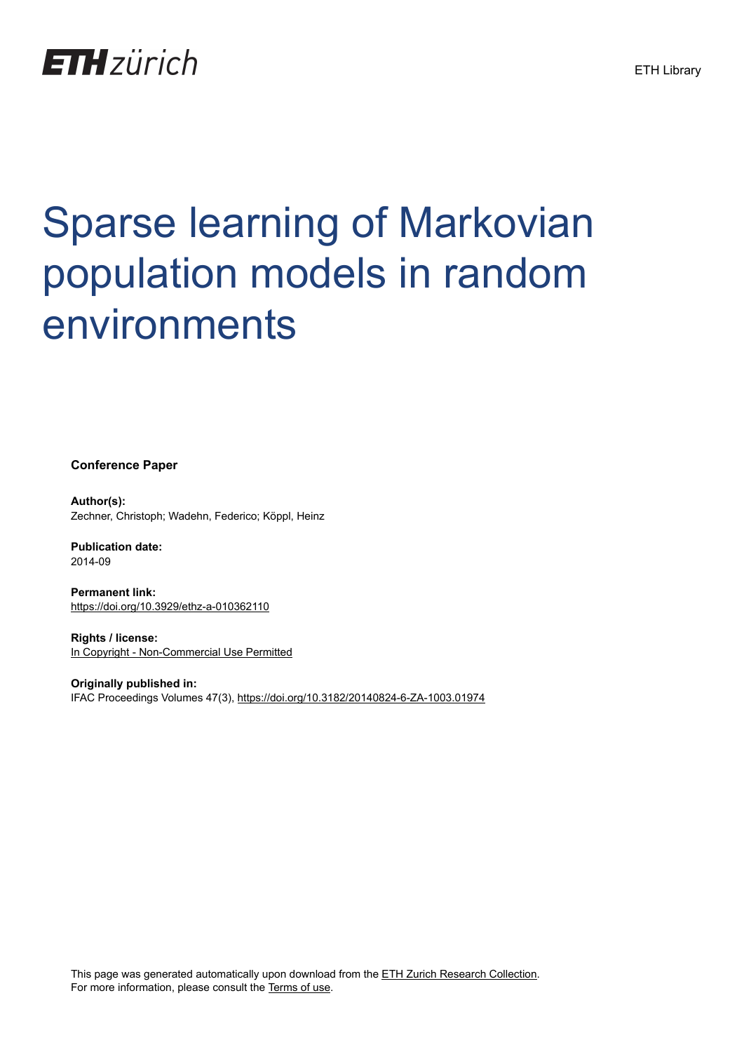

# Sparse learning of Markovian population models in random environments

**Conference Paper**

**Author(s):** Zechner, Christoph; Wadehn, Federico; Köppl, Heinz

**Publication date:** 2014-09

**Permanent link:** <https://doi.org/10.3929/ethz-a-010362110>

**Rights / license:** [In Copyright - Non-Commercial Use Permitted](http://rightsstatements.org/page/InC-NC/1.0/)

**Originally published in:** IFAC Proceedings Volumes 47(3),<https://doi.org/10.3182/20140824-6-ZA-1003.01974>

This page was generated automatically upon download from the [ETH Zurich Research Collection.](https://www.research-collection.ethz.ch) For more information, please consult the [Terms of use](https://www.research-collection.ethz.ch/terms-of-use).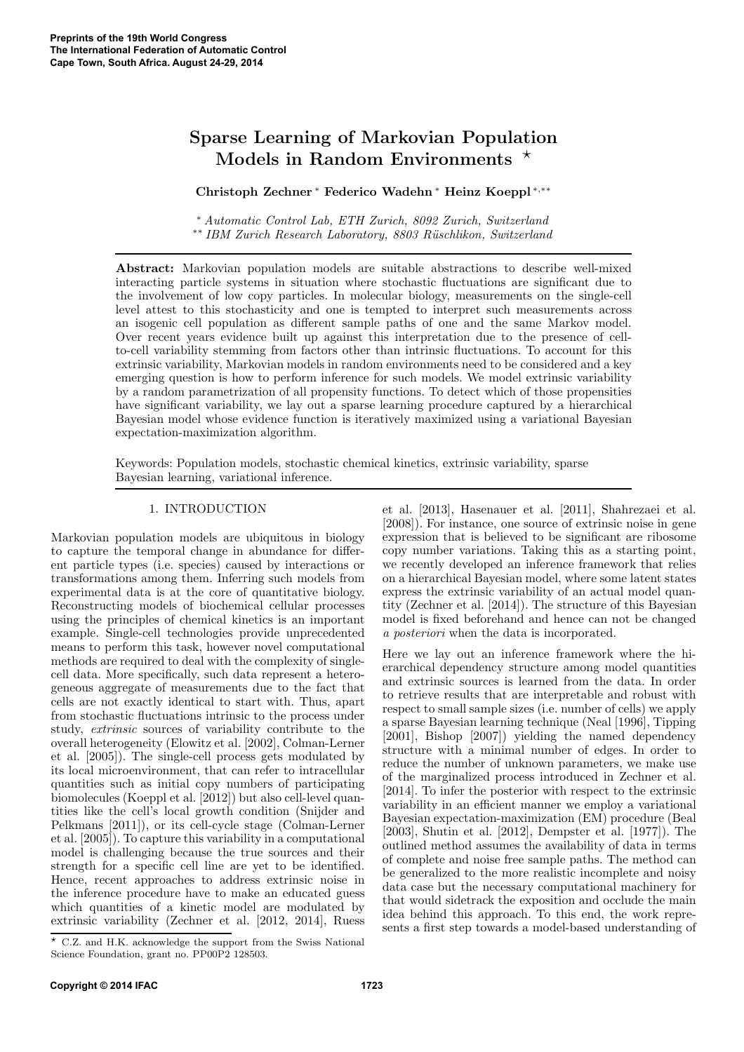# Sparse Learning of Markovian Population Models in Random Environments  $\star$

Christoph Zechner <sup>∗</sup> Federico Wadehn <sup>∗</sup> Heinz Koeppl <sup>∗</sup>,∗∗

<sup>∗</sup> *Automatic Control Lab, ETH Zurich, 8092 Zurich, Switzerland* ∗∗ *IBM Zurich Research Laboratory, 8803 R¨uschlikon, Switzerland*

Abstract: Markovian population models are suitable abstractions to describe well-mixed interacting particle systems in situation where stochastic fluctuations are significant due to the involvement of low copy particles. In molecular biology, measurements on the single-cell level attest to this stochasticity and one is tempted to interpret such measurements across an isogenic cell population as different sample paths of one and the same Markov model. Over recent years evidence built up against this interpretation due to the presence of cellto-cell variability stemming from factors other than intrinsic fluctuations. To account for this extrinsic variability, Markovian models in random environments need to be considered and a key emerging question is how to perform inference for such models. We model extrinsic variability by a random parametrization of all propensity functions. To detect which of those propensities have significant variability, we lay out a sparse learning procedure captured by a hierarchical Bayesian model whose evidence function is iteratively maximized using a variational Bayesian expectation-maximization algorithm.

Keywords: Population models, stochastic chemical kinetics, extrinsic variability, sparse Bayesian learning, variational inference.

# 1. INTRODUCTION

Markovian population models are ubiquitous in biology to capture the temporal change in abundance for different particle types (i.e. species) caused by interactions or transformations among them. Inferring such models from experimental data is at the core of quantitative biology. Reconstructing models of biochemical cellular processes using the principles of chemical kinetics is an important example. Single-cell technologies provide unprecedented means to perform this task, however novel computational methods are required to deal with the complexity of singlecell data. More specifically, such data represent a heterogeneous aggregate of measurements due to the fact that cells are not exactly identical to start with. Thus, apart from stochastic fluctuations intrinsic to the process under study, *extrinsic* sources of variability contribute to the overall heterogeneity (Elowitz et al. [2002], Colman-Lerner et al. [2005]). The single-cell process gets modulated by its local microenvironment, that can refer to intracellular quantities such as initial copy numbers of participating biomolecules (Koeppl et al. [2012]) but also cell-level quantities like the cell's local growth condition (Snijder and Pelkmans [2011]), or its cell-cycle stage (Colman-Lerner et al. [2005]). To capture this variability in a computational model is challenging because the true sources and their strength for a specific cell line are yet to be identified. Hence, recent approaches to address extrinsic noise in the inference procedure have to make an educated guess which quantities of a kinetic model are modulated by extrinsic variability (Zechner et al. [2012, 2014], Ruess et al. [2013], Hasenauer et al. [2011], Shahrezaei et al. [2008]). For instance, one source of extrinsic noise in gene expression that is believed to be significant are ribosome copy number variations. Taking this as a starting point, we recently developed an inference framework that relies on a hierarchical Bayesian model, where some latent states express the extrinsic variability of an actual model quantity (Zechner et al. [2014]). The structure of this Bayesian model is fixed beforehand and hence can not be changed *a posteriori* when the data is incorporated.

Here we lay out an inference framework where the hierarchical dependency structure among model quantities and extrinsic sources is learned from the data. In order to retrieve results that are interpretable and robust with respect to small sample sizes (i.e. number of cells) we apply a sparse Bayesian learning technique (Neal [1996], Tipping [2001], Bishop [2007]) yielding the named dependency structure with a minimal number of edges. In order to reduce the number of unknown parameters, we make use of the marginalized process introduced in Zechner et al. [2014]. To infer the posterior with respect to the extrinsic variability in an efficient manner we employ a variational Bayesian expectation-maximization (EM) procedure (Beal [2003], Shutin et al. [2012], Dempster et al. [1977]). The outlined method assumes the availability of data in terms of complete and noise free sample paths. The method can be generalized to the more realistic incomplete and noisy data case but the necessary computational machinery for that would sidetrack the exposition and occlude the main idea behind this approach. To this end, the work represents a first step towards a model-based understanding of

 $\star$  C.Z. and H.K. acknowledge the support from the Swiss National Science Foundation, grant no. PP00P2 128503.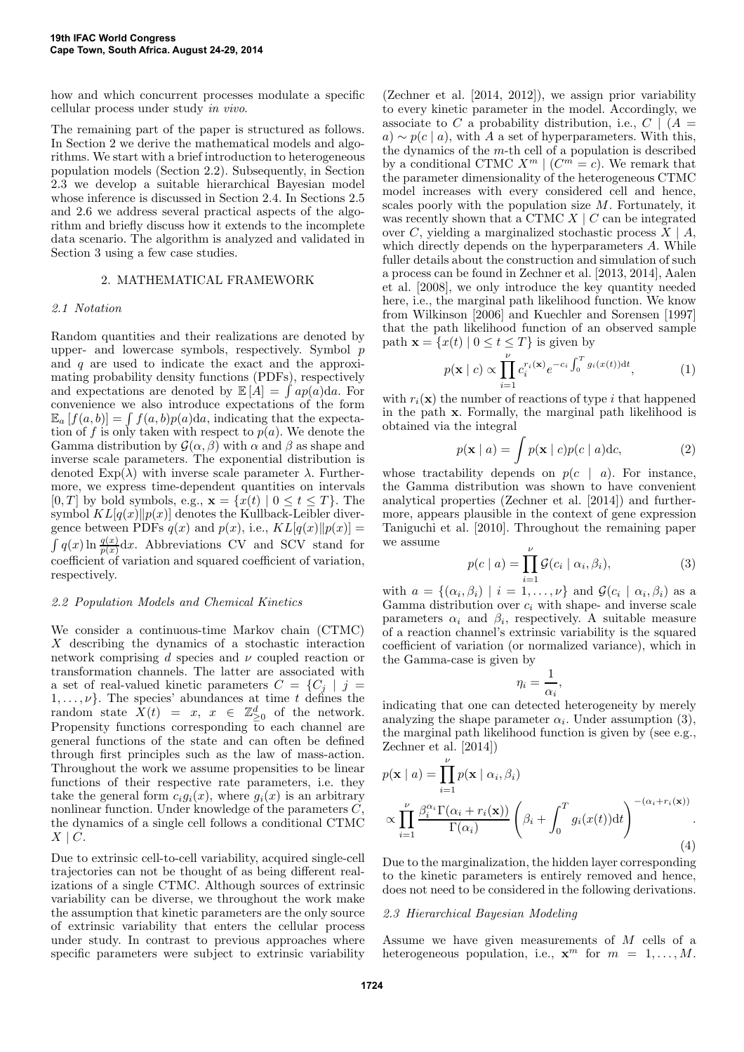how and which concurrent processes modulate a specific cellular process under study *in vivo*.

The remaining part of the paper is structured as follows. In Section 2 we derive the mathematical models and algorithms. We start with a brief introduction to heterogeneous population models (Section 2.2). Subsequently, in Section 2.3 we develop a suitable hierarchical Bayesian model whose inference is discussed in Section 2.4. In Sections 2.5 and 2.6 we address several practical aspects of the algorithm and briefly discuss how it extends to the incomplete data scenario. The algorithm is analyzed and validated in Section 3 using a few case studies.

# 2. MATHEMATICAL FRAMEWORK

#### *2.1 Notation*

Random quantities and their realizations are denoted by upper- and lowercase symbols, respectively. Symbol  $p$ and  $q$  are used to indicate the exact and the approximating probability density functions (PDFs), respectively and expectations are denoted by  $\mathbb{E}[\hat{A}] = \int ap(a)da$ . For convenience we also introduce expectations of the form  $\mathbb{E}_a[f(a,b)] = \int f(a,b)p(a)da$ , indicating that the expectation of f is only taken with respect to  $p(a)$ . We denote the Gamma distribution by  $\mathcal{G}(\alpha, \beta)$  with  $\alpha$  and  $\beta$  as shape and inverse scale parameters. The exponential distribution is denoted  $\text{Exp}(\lambda)$  with inverse scale parameter  $\lambda$ . Furthermore, we express time-dependent quantities on intervals  $[0, T]$  by bold symbols, e.g.,  $\mathbf{x} = \{x(t) | 0 \le t \le T\}$ . The symbol  $KL[q(x)||p(x)]$  denotes the Kullback-Leibler divergence between PDFs  $q(x)$  and  $p(x)$ , i.e.,  $KL[q(x)||p(x)] =$  $\int q(x) \ln \frac{q(x)}{p(x)} dx$ . Abbreviations CV and SCV stand for coefficient of variation and squared coefficient of variation, respectively.

#### *2.2 Population Models and Chemical Kinetics*

We consider a continuous-time Markov chain (CTMC) X describing the dynamics of a stochastic interaction network comprising d species and  $\nu$  coupled reaction or transformation channels. The latter are associated with a set of real-valued kinetic parameters  $C = \{C_j | j =$  $1, \ldots, \nu$ . The species' abundances at time t defines the random state  $\tilde{X}(t) = x, x \in \mathbb{Z}_{\geq 0}^d$  of the network. Propensity functions corresponding to each channel are general functions of the state and can often be defined through first principles such as the law of mass-action. Throughout the work we assume propensities to be linear functions of their respective rate parameters, i.e. they take the general form  $c_i g_i(x)$ , where  $g_i(x)$  is an arbitrary nonlinear function. Under knowledge of the parameters  $C$ , the dynamics of a single cell follows a conditional CTMC  $X \mid C$ .

Due to extrinsic cell-to-cell variability, acquired single-cell trajectories can not be thought of as being different realizations of a single CTMC. Although sources of extrinsic variability can be diverse, we throughout the work make the assumption that kinetic parameters are the only source of extrinsic variability that enters the cellular process under study. In contrast to previous approaches where specific parameters were subject to extrinsic variability

(Zechner et al. [2014, 2012]), we assign prior variability to every kinetic parameter in the model. Accordingly, we associate to C a probability distribution, i.e.,  $C \mid (A =$  $a) \sim p(c \mid a)$ , with A a set of hyperparameters. With this, the dynamics of the m-th cell of a population is described by a conditional CTMC  $X^m \mid (C^m = c)$ . We remark that the parameter dimensionality of the heterogeneous CTMC model increases with every considered cell and hence, scales poorly with the population size M. Fortunately, it was recently shown that a CTMC  $X \mid C$  can be integrated over C, yielding a marginalized stochastic process  $\overline{X}$  | A, which directly depends on the hyperparameters A. While fuller details about the construction and simulation of such a process can be found in Zechner et al. [2013, 2014], Aalen et al. [2008], we only introduce the key quantity needed here, i.e., the marginal path likelihood function. We know from Wilkinson [2006] and Kuechler and Sorensen [1997] that the path likelihood function of an observed sample path  $\mathbf{x} = \{x(t) | 0 \le t \le T\}$  is given by

$$
p(\mathbf{x} \mid c) \propto \prod_{i=1}^{\nu} c_i^{r_i(\mathbf{x})} e^{-c_i \int_0^T g_i(x(t)) dt}, \tag{1}
$$

with  $r_i(\mathbf{x})$  the number of reactions of type i that happened in the path x. Formally, the marginal path likelihood is obtained via the integral

$$
p(\mathbf{x} \mid a) = \int p(\mathbf{x} \mid c)p(c \mid a)dc,
$$
 (2)

whose tractability depends on  $p(c \mid a)$ . For instance, the Gamma distribution was shown to have convenient analytical properties (Zechner et al. [2014]) and furthermore, appears plausible in the context of gene expression Taniguchi et al. [2010]. Throughout the remaining paper we assume

$$
p(c \mid a) = \prod_{i=1}^{\nu} \mathcal{G}(c_i \mid \alpha_i, \beta_i), \tag{3}
$$

with  $a = \{(\alpha_i, \beta_i) \mid i = 1, \ldots, \nu\}$  and  $\mathcal{G}(c_i \mid \alpha_i, \beta_i)$  as a Gamma distribution over  $c_i$  with shape- and inverse scale parameters  $\alpha_i$  and  $\beta_i$ , respectively. A suitable measure of a reaction channel's extrinsic variability is the squared coefficient of variation (or normalized variance), which in the Gamma-case is given by

$$
\eta_i = \frac{1}{\alpha_i},
$$

indicating that one can detected heterogeneity by merely analyzing the shape parameter  $\alpha_i$ . Under assumption (3), the marginal path likelihood function is given by (see e.g., Zechner et al. [2014])

$$
p(\mathbf{x} \mid a) = \prod_{i=1}^{\nu} p(\mathbf{x} \mid \alpha_i, \beta_i)
$$

$$
\propto \prod_{i=1}^{\nu} \frac{\beta_i^{\alpha_i} \Gamma(\alpha_i + r_i(\mathbf{x}))}{\Gamma(\alpha_i)} \left(\beta_i + \int_0^T g_i(x(t)) dt\right)^{-(\alpha_i + r_i(\mathbf{x}))}.
$$
(4)

Due to the marginalization, the hidden layer corresponding to the kinetic parameters is entirely removed and hence, does not need to be considered in the following derivations.

#### *2.3 Hierarchical Bayesian Modeling*

Assume we have given measurements of M cells of a heterogeneous population, i.e.,  $\mathbf{x}^m$  for  $m = 1, ..., M$ .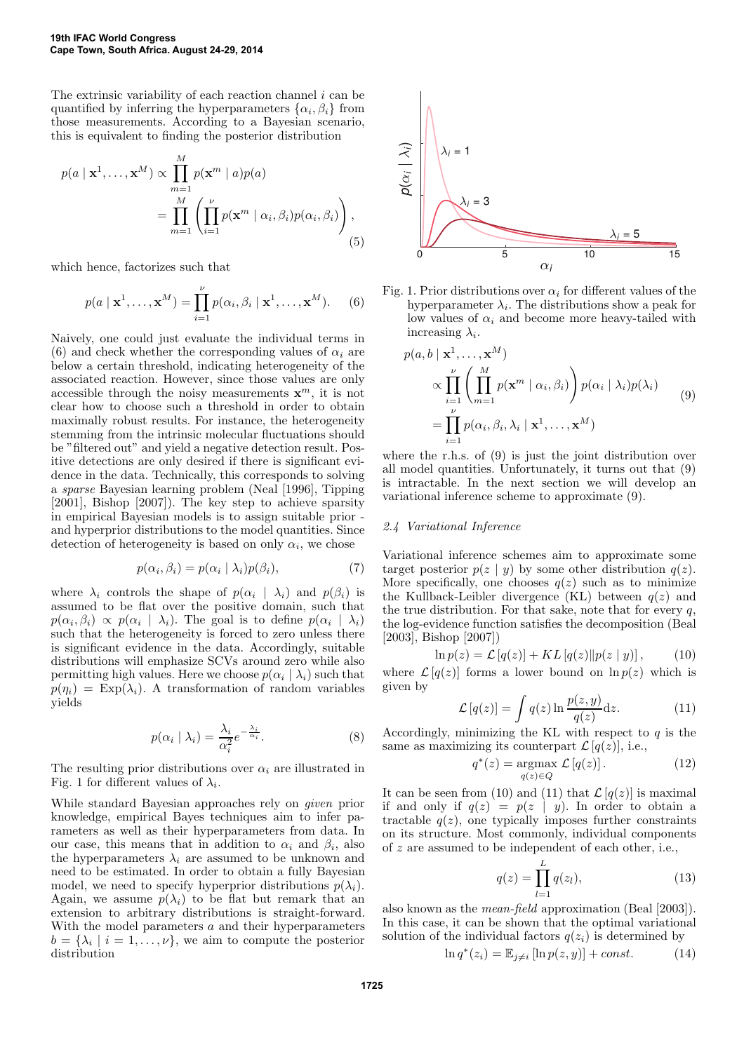The extrinsic variability of each reaction channel  $i$  can be quantified by inferring the hyperparameters  $\{\alpha_i, \beta_i\}$  from those measurements. According to a Bayesian scenario, this is equivalent to finding the posterior distribution

$$
p(a \mid \mathbf{x}^1, \dots, \mathbf{x}^M) \propto \prod_{m=1}^M p(\mathbf{x}^m \mid a) p(a)
$$
  
= 
$$
\prod_{m=1}^M \left( \prod_{i=1}^\nu p(\mathbf{x}^m \mid \alpha_i, \beta_i) p(\alpha_i, \beta_i) \right),
$$
 (5)

which hence, factorizes such that

$$
p(a \mid \mathbf{x}^1, \dots, \mathbf{x}^M) = \prod_{i=1}^{\nu} p(\alpha_i, \beta_i \mid \mathbf{x}^1, \dots, \mathbf{x}^M).
$$
 (6)

Naively, one could just evaluate the individual terms in (6) and check whether the corresponding values of  $\alpha_i$  are below a certain threshold, indicating heterogeneity of the associated reaction. However, since those values are only accessible through the noisy measurements  $\mathbf{x}^m$ , it is not clear how to choose such a threshold in order to obtain maximally robust results. For instance, the heterogeneity stemming from the intrinsic molecular fluctuations should be "filtered out" and yield a negative detection result. Positive detections are only desired if there is significant evidence in the data. Technically, this corresponds to solving a *sparse* Bayesian learning problem (Neal [1996], Tipping [2001], Bishop [2007]). The key step to achieve sparsity in empirical Bayesian models is to assign suitable prior and hyperprior distributions to the model quantities. Since detection of heterogeneity is based on only  $\alpha_i$ , we chose

$$
p(\alpha_i, \beta_i) = p(\alpha_i \mid \lambda_i) p(\beta_i), \tag{7}
$$

where  $\lambda_i$  controls the shape of  $p(\alpha_i | \lambda_i)$  and  $p(\beta_i)$  is assumed to be flat over the positive domain, such that  $p(\alpha_i, \beta_i) \propto p(\alpha_i \mid \lambda_i)$ . The goal is to define  $p(\alpha_i \mid \lambda_i)$ such that the heterogeneity is forced to zero unless there is significant evidence in the data. Accordingly, suitable distributions will emphasize SCVs around zero while also permitting high values. Here we choose  $p(\alpha_i | \lambda_i)$  such that  $p(\eta_i) = \text{Exp}(\lambda_i)$ . A transformation of random variables yields

$$
p(\alpha_i \mid \lambda_i) = \frac{\lambda_i}{\alpha_i^2} e^{-\frac{\lambda_i}{\alpha_i}}.
$$
\n(8)

The resulting prior distributions over  $\alpha_i$  are illustrated in Fig. 1 for different values of  $\lambda_i$ .

While standard Bayesian approaches rely on *given* prior knowledge, empirical Bayes techniques aim to infer parameters as well as their hyperparameters from data. In our case, this means that in addition to  $\alpha_i$  and  $\beta_i$ , also the hyperparameters  $\lambda_i$  are assumed to be unknown and need to be estimated. In order to obtain a fully Bayesian model, we need to specify hyperprior distributions  $p(\lambda_i)$ . Again, we assume  $p(\lambda_i)$  to be flat but remark that an extension to arbitrary distributions is straight-forward. With the model parameters  $a$  and their hyperparameters  $b = {\lambda_i | i = 1, ..., \nu}$ , we aim to compute the posterior distribution



Fig. 1. Prior distributions over  $\alpha_i$  for different values of the hyperparameter  $\lambda_i$ . The distributions show a peak for low values of  $\alpha_i$  and become more heavy-tailed with increasing  $\lambda_i$ .

$$
p(a, b \mid \mathbf{x}^{1}, \dots, \mathbf{x}^{M})
$$
  
\n
$$
\propto \prod_{i=1}^{\nu} \left( \prod_{m=1}^{M} p(\mathbf{x}^{m} \mid \alpha_{i}, \beta_{i}) \right) p(\alpha_{i} \mid \lambda_{i}) p(\lambda_{i})
$$
  
\n
$$
= \prod_{i=1}^{\nu} p(\alpha_{i}, \beta_{i}, \lambda_{i} \mid \mathbf{x}^{1}, \dots, \mathbf{x}^{M})
$$
\n(9)

where the r.h.s. of (9) is just the joint distribution over all model quantities. Unfortunately, it turns out that (9) is intractable. In the next section we will develop an variational inference scheme to approximate (9).

# *2.4 Variational Inference*

Variational inference schemes aim to approximate some target posterior  $p(z | y)$  by some other distribution  $q(z)$ . More specifically, one chooses  $q(z)$  such as to minimize the Kullback-Leibler divergence (KL) between  $q(z)$  and the true distribution. For that sake, note that for every  $q$ , the log-evidence function satisfies the decomposition (Beal [2003], Bishop [2007])

$$
\ln p(z) = \mathcal{L}\left[q(z)\right] + KL\left[q(z)\right]p(z \mid y)\right],\tag{10}
$$

where  $\mathcal{L}[q(z)]$  forms a lower bound on  $\ln p(z)$  which is given by

$$
\mathcal{L}[q(z)] = \int q(z) \ln \frac{p(z, y)}{q(z)} dz.
$$
 (11)

Accordingly, minimizing the KL with respect to  $q$  is the same as maximizing its counterpart  $\mathcal{L}[q(z)]$ , i.e.,

$$
q^*(z) = \underset{q(z) \in Q}{\operatorname{argmax}} \mathcal{L}[q(z)]. \qquad (12)
$$

It can be seen from (10) and (11) that  $\mathcal{L}[q(z)]$  is maximal if and only if  $q(z) = p(z | y)$ . In order to obtain a tractable  $q(z)$ , one typically imposes further constraints on its structure. Most commonly, individual components of z are assumed to be independent of each other, i.e.,

$$
q(z) = \prod_{l=1}^{L} q(z_l),
$$
 (13)

also known as the *mean-field* approximation (Beal [2003]). In this case, it can be shown that the optimal variational solution of the individual factors  $q(z_i)$  is determined by

$$
\ln q^*(z_i) = \mathbb{E}_{j \neq i} [\ln p(z, y)] + const.
$$
 (14)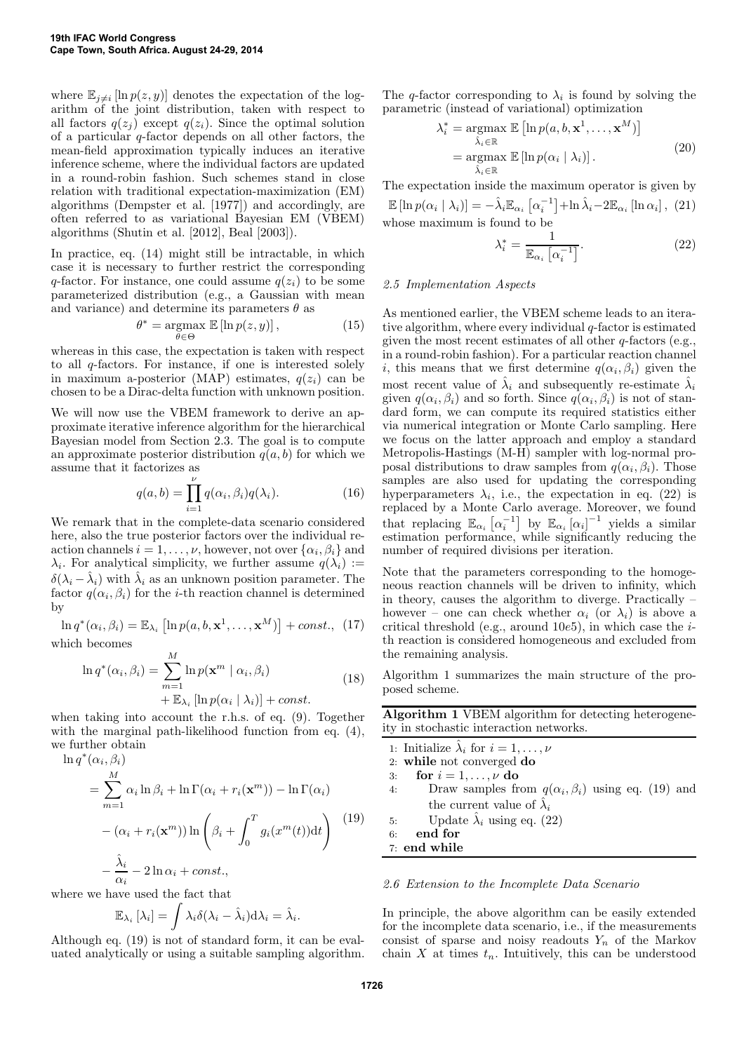where  $\mathbb{E}_{j\neq i}$  [ln  $p(z, y)$ ] denotes the expectation of the logarithm of the joint distribution, taken with respect to all factors  $q(z_i)$  except  $q(z_i)$ . Since the optimal solution of a particular q-factor depends on all other factors, the mean-field approximation typically induces an iterative inference scheme, where the individual factors are updated in a round-robin fashion. Such schemes stand in close relation with traditional expectation-maximization (EM) algorithms (Dempster et al. [1977]) and accordingly, are often referred to as variational Bayesian EM (VBEM) algorithms (Shutin et al. [2012], Beal [2003]).

In practice, eq. (14) might still be intractable, in which case it is necessary to further restrict the corresponding q-factor. For instance, one could assume  $q(z_i)$  to be some parameterized distribution (e.g., a Gaussian with mean and variance) and determine its parameters  $\theta$  as

$$
\theta^* = \underset{\theta \in \Theta}{\operatorname{argmax}} \mathbb{E} \left[ \ln p(z, y) \right],\tag{15}
$$

whereas in this case, the expectation is taken with respect to all q-factors. For instance, if one is interested solely in maximum a-posterior (MAP) estimates,  $q(z_i)$  can be chosen to be a Dirac-delta function with unknown position.

We will now use the VBEM framework to derive an approximate iterative inference algorithm for the hierarchical Bayesian model from Section 2.3. The goal is to compute an approximate posterior distribution  $q(a, b)$  for which we assume that it factorizes as

$$
q(a,b) = \prod_{i=1}^{\nu} q(\alpha_i, \beta_i) q(\lambda_i).
$$
 (16)

We remark that in the complete-data scenario considered here, also the true posterior factors over the individual reaction channels  $i = 1, \ldots, \nu$ , however, not over  $\{\alpha_i, \beta_i\}$  and  $\lambda_i$ . For analytical simplicity, we further assume  $q(\lambda_i) :=$  $\delta(\lambda_i - \hat{\lambda}_i)$  with  $\hat{\lambda}_i$  as an unknown position parameter. The factor  $q(\alpha_i, \beta_i)$  for the *i*-th reaction channel is determined by

 $\ln q^*(\alpha_i, \beta_i) = \mathbb{E}_{\lambda_i} \left[ \ln p(a, b, \mathbf{x}^1, \dots, \mathbf{x}^M) \right] + const.$  (17) which becomes

M

$$
\ln q^*(\alpha_i, \beta_i) = \sum_{m=1}^m \ln p(\mathbf{x}^m \mid \alpha_i, \beta_i)
$$
  
+  $\mathbb{E}_{\lambda_i} [\ln p(\alpha_i \mid \lambda_i)] + const.$  (18)

when taking into account the r.h.s. of eq. (9). Together with the marginal path-likelihood function from eq.  $(4)$ , we further obtain

 $\ln q^*(\alpha_i, \beta_i)$ 

$$
= \sum_{m=1}^{M} \alpha_i \ln \beta_i + \ln \Gamma(\alpha_i + r_i(\mathbf{x}^m)) - \ln \Gamma(\alpha_i)
$$

$$
- (\alpha_i + r_i(\mathbf{x}^m)) \ln \left( \beta_i + \int_0^T g_i(x^m(t)) dt \right)
$$

$$
- \frac{\hat{\lambda}_i}{\alpha_i} - 2 \ln \alpha_i + const., \qquad (19)
$$

where we have used the fact that

$$
\mathbb{E}_{\lambda_i} [\lambda_i] = \int \lambda_i \delta(\lambda_i - \hat{\lambda}_i) d\lambda_i = \hat{\lambda}_i.
$$

Although eq. (19) is not of standard form, it can be evaluated analytically or using a suitable sampling algorithm.

The q-factor corresponding to  $\lambda_i$  is found by solving the parametric (instead of variational) optimization

$$
\lambda_i^* = \underset{\hat{\lambda}_i \in \mathbb{R}}{\operatorname{argmax}} \mathbb{E} \left[ \ln p(a, b, \mathbf{x}^1, \dots, \mathbf{x}^M) \right]
$$
  
= 
$$
\underset{\hat{\lambda}_i \in \mathbb{R}}{\operatorname{argmax}} \mathbb{E} \left[ \ln p(\alpha_i \mid \lambda_i) \right].
$$
 (20)

The expectation inside the maximum operator is given by

 $\mathbb{E}\left[\ln p(\alpha_i \mid \lambda_i)\right] = -\hat{\lambda}_i \mathbb{E}_{\alpha_i} \left[\alpha_i^{-1}\right] + \ln \hat{\lambda}_i - 2\mathbb{E}_{\alpha_i} \left[\ln \alpha_i\right], (21)$ whose maximum is found to be

$$
\lambda_i^* = \frac{1}{\mathbb{E}_{\alpha_i} \left[ \alpha_i^{-1} \right]}.
$$
\n(22)

#### *2.5 Implementation Aspects*

As mentioned earlier, the VBEM scheme leads to an iterative algorithm, where every individual  $q$ -factor is estimated given the most recent estimates of all other  $q$ -factors (e.g., in a round-robin fashion). For a particular reaction channel *i*, this means that we first determine  $q(\alpha_i, \beta_i)$  given the most recent value of  $\hat{\lambda}_i$  and subsequently re-estimate  $\hat{\lambda}_i$ given  $q(\alpha_i, \beta_i)$  and so forth. Since  $q(\alpha_i, \beta_i)$  is not of standard form, we can compute its required statistics either via numerical integration or Monte Carlo sampling. Here we focus on the latter approach and employ a standard Metropolis-Hastings (M-H) sampler with log-normal proposal distributions to draw samples from  $q(\alpha_i, \beta_i)$ . Those samples are also used for updating the corresponding hyperparameters  $\lambda_i$ , i.e., the expectation in eq. (22) is replaced by a Monte Carlo average. Moreover, we found that replacing  $\mathbb{E}_{\alpha_i} \left[ \alpha_i^{-1} \right]$  by  $\mathbb{E}_{\alpha_i} \left[ \alpha_i \right]^{-1}$  yields a similar estimation performance, while significantly reducing the number of required divisions per iteration.

Note that the parameters corresponding to the homogeneous reaction channels will be driven to infinity, which in theory, causes the algorithm to diverge. Practically – however – one can check whether  $\alpha_i$  (or  $\lambda_i$ ) is above a critical threshold (e.g., around  $10e5$ ), in which case the *i*th reaction is considered homogeneous and excluded from the remaining analysis.

Algorithm 1 summarizes the main structure of the proposed scheme.

| <b>Algorithm 1 VBEM</b> algorithm for detecting heterogene- |  |  |
|-------------------------------------------------------------|--|--|
| ity in stochastic interaction networks.                     |  |  |

1: Initialize  $\hat{\lambda}_i$  for  $i = 1, \dots, \nu$ 2: while not converged do 3: for  $i = 1, \ldots, \nu$  do 4: Draw samples from  $q(\alpha_i, \beta_i)$  using eq. (19) and the current value of  $\hat{\lambda}_i$ 5: Update  $\hat{\lambda}_i$  using eq. (22) 6: end for 7: end while

## *2.6 Extension to the Incomplete Data Scenario*

In principle, the above algorithm can be easily extended for the incomplete data scenario, i.e., if the measurements consist of sparse and noisy readouts  $Y_n$  of the Markov chain X at times  $t_n$ . Intuitively, this can be understood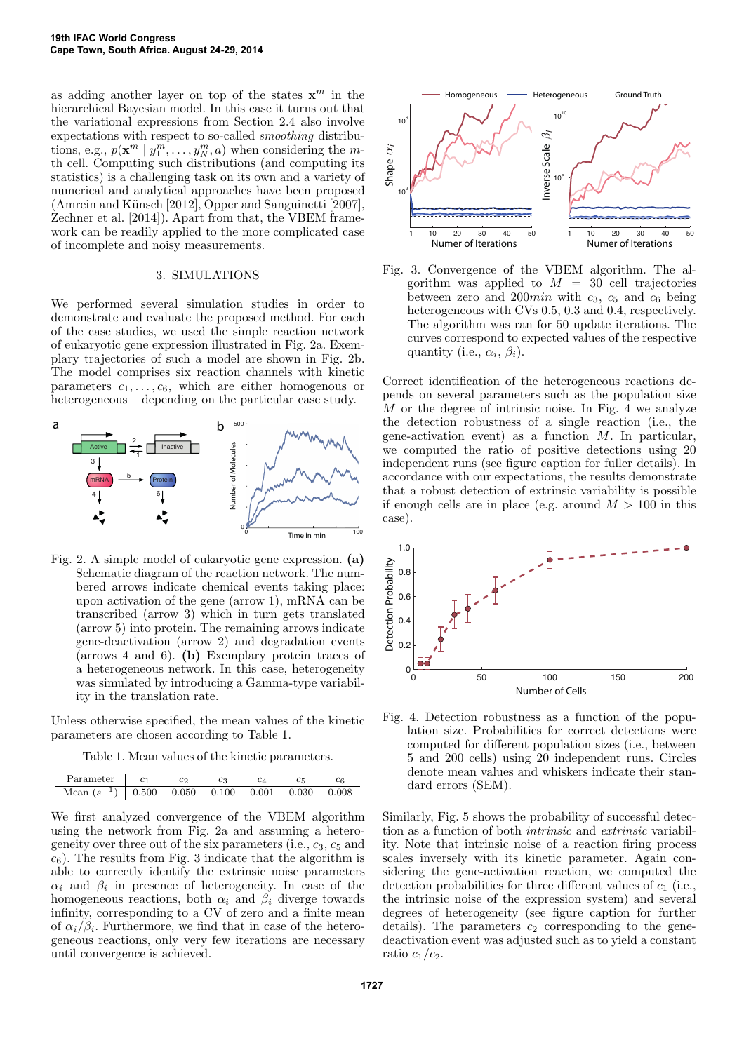as adding another layer on top of the states  $\mathbf{x}^m$  in the hierarchical Bayesian model. In this case it turns out that the variational expressions from Section 2.4 also involve expectations with respect to so-called *smoothing* distributions, e.g.,  $p(\mathbf{x}^m \mid y_1^m, \dots, y_N^m, a)$  when considering the mth cell. Computing such distributions (and computing its statistics) is a challenging task on its own and a variety of numerical and analytical approaches have been proposed (Amrein and Künsch [2012], Opper and Sanguinetti [2007], Zechner et al. [2014]). Apart from that, the VBEM framework can be readily applied to the more complicated case of incomplete and noisy measurements.

#### 3. SIMULATIONS

We performed several simulation studies in order to demonstrate and evaluate the proposed method. For each of the case studies, we used the simple reaction network of eukaryotic gene expression illustrated in Fig. 2a. Exemplary trajectories of such a model are shown in Fig. 2b. The model comprises six reaction channels with kinetic parameters  $c_1, \ldots, c_6$ , which are either homogenous or heterogeneous – depending on the particular case study.



Fig. 2. A simple model of eukaryotic gene expression. (a) Schematic diagram of the reaction network. The numbered arrows indicate chemical events taking place: upon activation of the gene (arrow 1), mRNA can be transcribed (arrow 3) which in turn gets translated (arrow 5) into protein. The remaining arrows indicate gene-deactivation (arrow 2) and degradation events (arrows 4 and 6). (b) Exemplary protein traces of a heterogeneous network. In this case, heterogeneity was simulated by introducing a Gamma-type variability in the translation rate.

Unless otherwise specified, the mean values of the kinetic parameters are chosen according to Table 1.

Table 1. Mean values of the kinetic parameters.

| Parameter       | $c_1$ | $c_2$ | $c_3$ | $c_4$ | $c_5$ | $c_6$ |
|-----------------|-------|-------|-------|-------|-------|-------|
| Mean $(s^{-1})$ | 0.500 | 0.050 | 0.100 | 0.001 | 0.030 | 0.008 |

We first analyzed convergence of the VBEM algorithm using the network from Fig. 2a and assuming a heterogeneity over three out of the six parameters (i.e.,  $c_3$ ,  $c_5$  and  $c_6$ ). The results from Fig. 3 indicate that the algorithm is able to correctly identify the extrinsic noise parameters  $\alpha_i$  and  $\beta_i$  in presence of heterogeneity. In case of the homogeneous reactions, both  $\alpha_i$  and  $\beta_i$  diverge towards infinity, corresponding to a CV of zero and a finite mean of  $\alpha_i/\beta_i$ . Furthermore, we find that in case of the heterogeneous reactions, only very few iterations are necessary until convergence is achieved.



Fig. 3. Convergence of the VBEM algorithm. The algorithm was applied to  $M = 30$  cell trajectories between zero and 200*min* with  $c_3$ ,  $c_5$  and  $c_6$  being heterogeneous with CVs 0.5, 0.3 and 0.4, respectively. The algorithm was ran for 50 update iterations. The curves correspond to expected values of the respective quantity (i.e.,  $\alpha_i$ ,  $\beta_i$ ).

Correct identification of the heterogeneous reactions depends on several parameters such as the population size M or the degree of intrinsic noise. In Fig. 4 we analyze the detection robustness of a single reaction (i.e., the gene-activation event) as a function  $M$ . In particular, we computed the ratio of positive detections using 20 independent runs (see figure caption for fuller details). In accordance with our expectations, the results demonstrate that a robust detection of extrinsic variability is possible if enough cells are in place (e.g. around  $M > 100$  in this case).



Fig. 4. Detection robustness as a function of the population size. Probabilities for correct detections were computed for different population sizes (i.e., between 5 and 200 cells) using 20 independent runs. Circles denote mean values and whiskers indicate their standard errors (SEM).

Similarly, Fig. 5 shows the probability of successful detection as a function of both *intrinsic* and *extrinsic* variability. Note that intrinsic noise of a reaction firing process scales inversely with its kinetic parameter. Again considering the gene-activation reaction, we computed the detection probabilities for three different values of  $c_1$  (i.e., the intrinsic noise of the expression system) and several degrees of heterogeneity (see figure caption for further details). The parameters  $c_2$  corresponding to the genedeactivation event was adjusted such as to yield a constant ratio  $c_1/c_2$ .